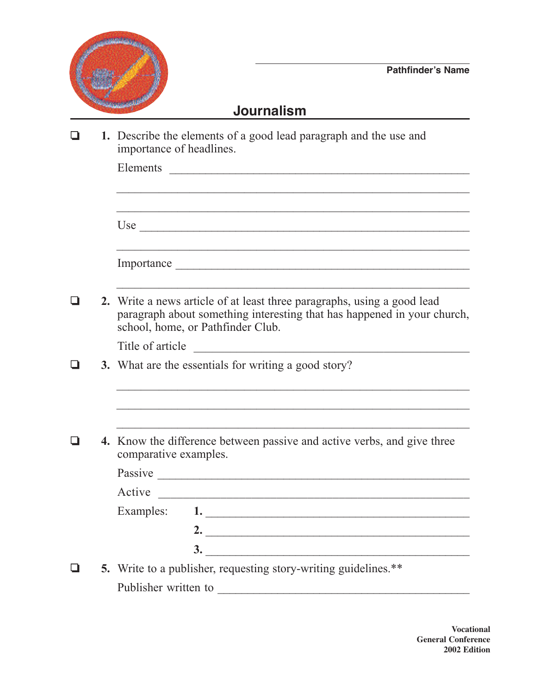

## **Journalism**

|  | 1. Describe the elements of a good lead paragraph and the use and<br>importance of headlines.                                                                                           |  |  |
|--|-----------------------------------------------------------------------------------------------------------------------------------------------------------------------------------------|--|--|
|  | Elements                                                                                                                                                                                |  |  |
|  |                                                                                                                                                                                         |  |  |
|  |                                                                                                                                                                                         |  |  |
|  | 2. Write a news article of at least three paragraphs, using a good lead<br>paragraph about something interesting that has happened in your church,<br>school, home, or Pathfinder Club. |  |  |
|  | Title of article<br><u> 1989 - Johann Barbara, martin amerikan basal dan berasal dan berasal dalam basal dalam basal dalam basal dala</u>                                               |  |  |
|  | 3. What are the essentials for writing a good story?                                                                                                                                    |  |  |
|  |                                                                                                                                                                                         |  |  |
|  | 4. Know the difference between passive and active verbs, and give three<br>comparative examples.                                                                                        |  |  |
|  |                                                                                                                                                                                         |  |  |
|  | Active                                                                                                                                                                                  |  |  |
|  | Examples: 1                                                                                                                                                                             |  |  |
|  | 2. $\overline{\phantom{a}}$                                                                                                                                                             |  |  |
|  | $\frac{3}{2}$                                                                                                                                                                           |  |  |
|  | 5. Write to a publisher, requesting story-writing guidelines.**                                                                                                                         |  |  |
|  | Publisher written to                                                                                                                                                                    |  |  |